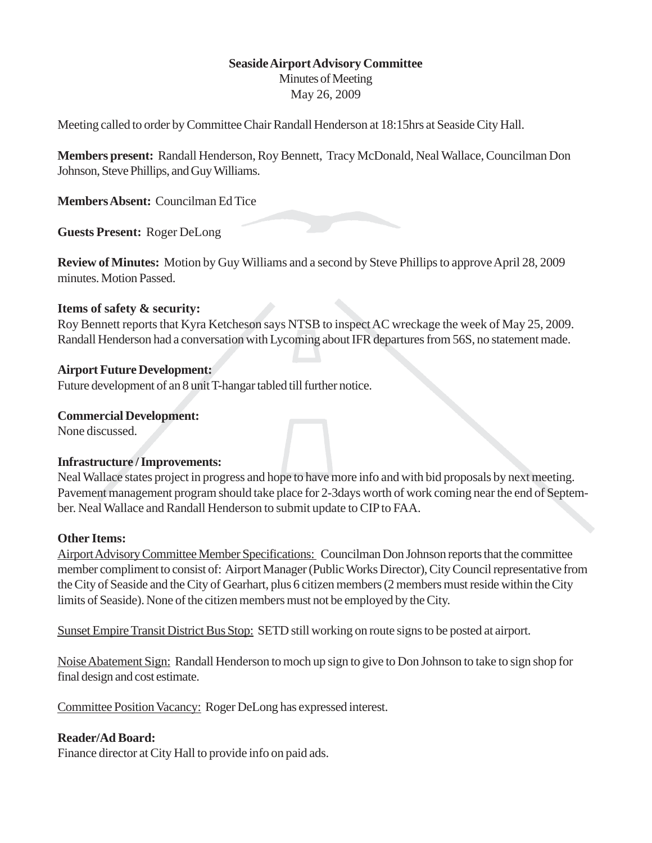## **Seaside Airport Advisory Committee**

Minutes of Meeting May 26, 2009

Meeting called to order by Committee Chair Randall Henderson at 18:15hrs at Seaside City Hall.

**Members present:** Randall Henderson, Roy Bennett, Tracy McDonald, Neal Wallace, Councilman Don Johnson, Steve Phillips, and Guy Williams.

**Members Absent:** Councilman Ed Tice

**Guests Present:** Roger DeLong

**Review of Minutes:** Motion by Guy Williams and a second by Steve Phillips to approve April 28, 2009 minutes. Motion Passed.

### **Items of safety & security:**

Roy Bennett reports that Kyra Ketcheson says NTSB to inspect AC wreckage the week of May 25, 2009. Randall Henderson had a conversation with Lycoming about IFR departures from 56S, no statement made.

### **Airport Future Development:**

Future development of an 8 unit T-hangar tabled till further notice.

### **Commercial Development:**

None discussed.

# **Infrastructure / Improvements:**

Neal Wallace states project in progress and hope to have more info and with bid proposals by next meeting. Pavement management program should take place for 2-3days worth of work coming near the end of September. Neal Wallace and Randall Henderson to submit update to CIP to FAA.

### **Other Items:**

Airport Advisory Committee Member Specifications: Councilman Don Johnson reports that the committee member compliment to consist of: Airport Manager (Public Works Director), City Council representative from the City of Seaside and the City of Gearhart, plus 6 citizen members (2 members must reside within the City limits of Seaside). None of the citizen members must not be employed by the City.

Sunset Empire Transit District Bus Stop: SETD still working on route signs to be posted at airport.

Noise Abatement Sign: Randall Henderson to moch up sign to give to Don Johnson to take to sign shop for final design and cost estimate.

Committee Position Vacancy: Roger DeLong has expressed interest.

# **Reader/Ad Board:**

Finance director at City Hall to provide info on paid ads.